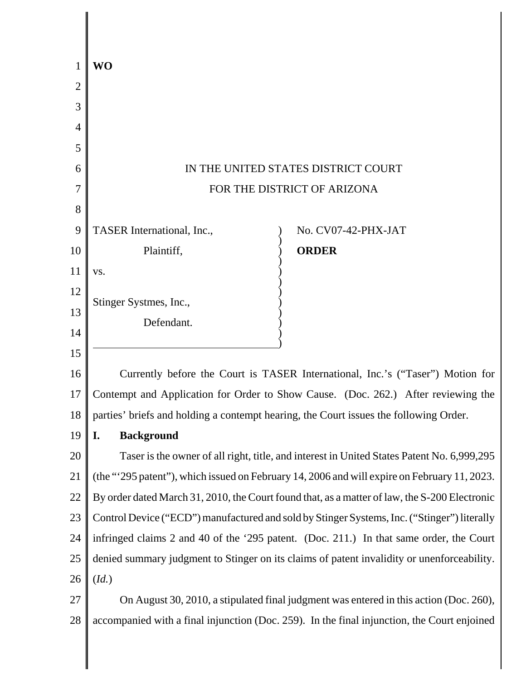|    | WO                                                                                            |
|----|-----------------------------------------------------------------------------------------------|
| 2  |                                                                                               |
| 3  |                                                                                               |
| 4  |                                                                                               |
| 5  |                                                                                               |
| 6  | IN THE UNITED STATES DISTRICT COURT                                                           |
| 7  | FOR THE DISTRICT OF ARIZONA                                                                   |
| 8  |                                                                                               |
| 9  | TASER International, Inc.,<br>No. CV07-42-PHX-JAT                                             |
| 10 | <b>ORDER</b><br>Plaintiff,                                                                    |
| 11 | VS.                                                                                           |
| 12 | Stinger Systmes, Inc.,                                                                        |
| 13 | Defendant.                                                                                    |
| 14 |                                                                                               |
| 15 |                                                                                               |
| 16 | Currently before the Court is TASER International, Inc.'s ("Taser") Motion for                |
| 17 | Contempt and Application for Order to Show Cause. (Doc. 262.) After reviewing the             |
| 18 | parties' briefs and holding a contempt hearing, the Court issues the following Order.         |
| 19 | I.<br><b>Background</b>                                                                       |
| 20 | Taser is the owner of all right, title, and interest in United States Patent No. 6,999,295    |
| 21 | (the "'295 patent"), which issued on February 14, 2006 and will expire on February 11, 2023.  |
| 22 | By order dated March 31, 2010, the Court found that, as a matter of law, the S-200 Electronic |
| 23 | Control Device ("ECD") manufactured and sold by Stinger Systems, Inc. ("Stinger") literally   |
| 24 | infringed claims 2 and 40 of the '295 patent. (Doc. 211.) In that same order, the Court       |
| 25 | denied summary judgment to Stinger on its claims of patent invalidity or unenforceability.    |
| 26 | (Id.)                                                                                         |
| 27 | On August 30, 2010, a stipulated final judgment was entered in this action (Doc. 260),        |
| 28 | accompanied with a final injunction (Doc. 259). In the final injunction, the Court enjoined   |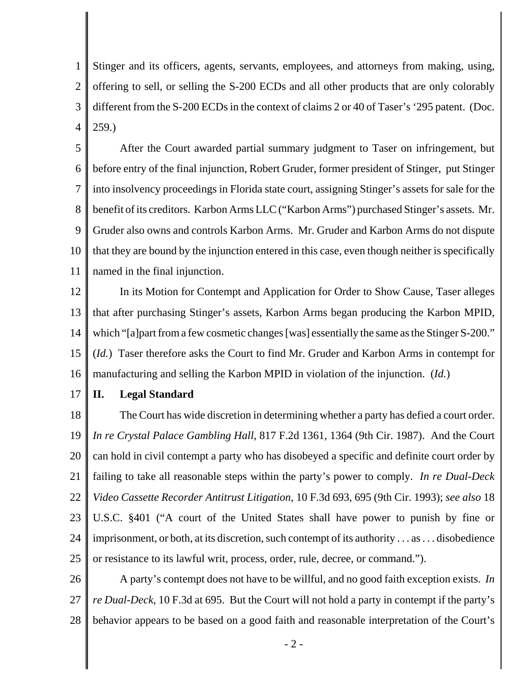1 2 3 4 Stinger and its officers, agents, servants, employees, and attorneys from making, using, offering to sell, or selling the S-200 ECDs and all other products that are only colorably different from the S-200 ECDs in the context of claims 2 or 40 of Taser's '295 patent. (Doc. 259.)

5 6 7 8 9 10 11 After the Court awarded partial summary judgment to Taser on infringement, but before entry of the final injunction, Robert Gruder, former president of Stinger, put Stinger into insolvency proceedings in Florida state court, assigning Stinger's assets for sale for the benefit of its creditors. Karbon Arms LLC ("Karbon Arms") purchased Stinger's assets. Mr. Gruder also owns and controls Karbon Arms. Mr. Gruder and Karbon Arms do not dispute that they are bound by the injunction entered in this case, even though neither is specifically named in the final injunction.

12 13 14 15 16 In its Motion for Contempt and Application for Order to Show Cause, Taser alleges that after purchasing Stinger's assets, Karbon Arms began producing the Karbon MPID, which "[a]part from a few cosmetic changes [was] essentially the same as the Stinger S-200." (*Id.*)Taser therefore asks the Court to find Mr. Gruder and Karbon Arms in contempt for manufacturing and selling the Karbon MPID in violation of the injunction. (*Id.*)

17 **II. Legal Standard**

18 19 20 21 22 23 24 25 The Court has wide discretion in determining whether a party has defied a court order. *In re Crystal Palace Gambling Hall*, 817 F.2d 1361, 1364 (9th Cir. 1987). And the Court can hold in civil contempt a party who has disobeyed a specific and definite court order by failing to take all reasonable steps within the party's power to comply. *In re Dual-Deck Video Cassette Recorder Antitrust Litigation*, 10 F.3d 693, 695 (9th Cir. 1993); *see also* 18 U.S.C. §401 ("A court of the United States shall have power to punish by fine or imprisonment, or both, at its discretion, such contempt of its authority . . . as . . . disobedience or resistance to its lawful writ, process, order, rule, decree, or command.").

26 27 28 A party's contempt does not have to be willful, and no good faith exception exists. *In re Dual-Deck*, 10 F.3d at 695. But the Court will not hold a party in contempt if the party's behavior appears to be based on a good faith and reasonable interpretation of the Court's

- 2 -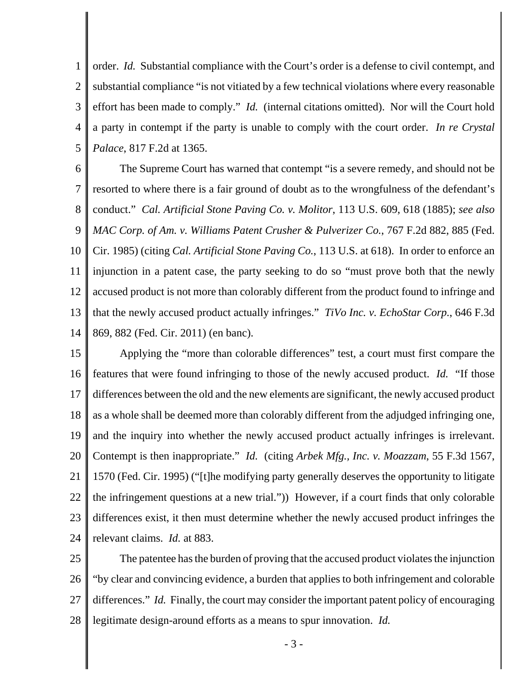1 2 3 4 5 order. *Id.* Substantial compliance with the Court's order is a defense to civil contempt, and substantial compliance "is not vitiated by a few technical violations where every reasonable effort has been made to comply." *Id.* (internal citations omitted). Nor will the Court hold a party in contempt if the party is unable to comply with the court order. *In re Crystal Palace*, 817 F.2d at 1365.

6 7 8 9 10 11 12 13 14 The Supreme Court has warned that contempt "is a severe remedy, and should not be resorted to where there is a fair ground of doubt as to the wrongfulness of the defendant's conduct." *Cal. Artificial Stone Paving Co. v. Molitor*, 113 U.S. 609, 618 (1885); *see also MAC Corp. of Am. v. Williams Patent Crusher & Pulverizer Co.*, 767 F.2d 882, 885 (Fed. Cir. 1985) (citing *Cal. Artificial Stone Paving Co.*, 113 U.S. at 618). In order to enforce an injunction in a patent case, the party seeking to do so "must prove both that the newly accused product is not more than colorably different from the product found to infringe and that the newly accused product actually infringes." *TiVo Inc. v. EchoStar Corp.*, 646 F.3d 869, 882 (Fed. Cir. 2011) (en banc).

15 16 17 18 19 20 21 22 23 24 Applying the "more than colorable differences" test, a court must first compare the features that were found infringing to those of the newly accused product. *Id.* "If those differences between the old and the new elements are significant, the newly accused product as a whole shall be deemed more than colorably different from the adjudged infringing one, and the inquiry into whether the newly accused product actually infringes is irrelevant. Contempt is then inappropriate." *Id.* (citing *Arbek Mfg., Inc. v. Moazzam*, 55 F.3d 1567, 1570 (Fed. Cir. 1995) ("[t]he modifying party generally deserves the opportunity to litigate the infringement questions at a new trial.")) However, if a court finds that only colorable differences exist, it then must determine whether the newly accused product infringes the relevant claims. *Id.* at 883.

25 26 27 28 The patentee has the burden of proving that the accused product violates the injunction "by clear and convincing evidence, a burden that applies to both infringement and colorable differences." *Id.* Finally, the court may consider the important patent policy of encouraging legitimate design-around efforts as a means to spur innovation. *Id.*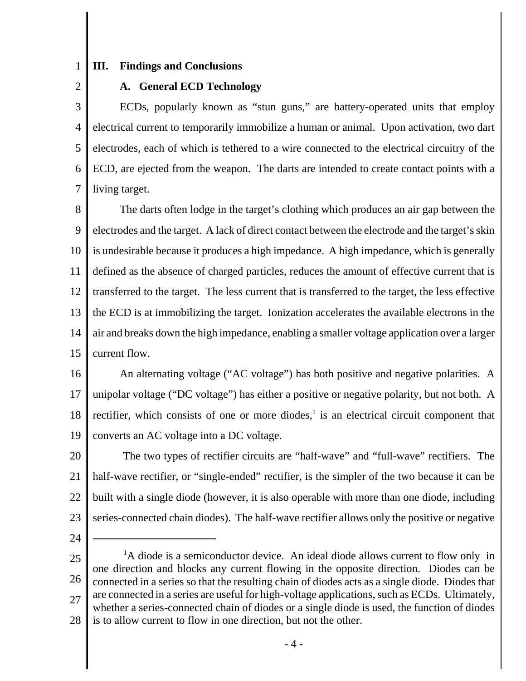1

## **III. Findings and Conclusions**

2

## **A. General ECD Technology**

3 4 5 6 7 ECDs, popularly known as "stun guns," are battery-operated units that employ electrical current to temporarily immobilize a human or animal. Upon activation, two dart electrodes, each of which is tethered to a wire connected to the electrical circuitry of the ECD, are ejected from the weapon. The darts are intended to create contact points with a living target.

8 9 10 11 12 13 14 15 The darts often lodge in the target's clothing which produces an air gap between the electrodes and the target. A lack of direct contact between the electrode and the target's skin is undesirable because it produces a high impedance. A high impedance, which is generally defined as the absence of charged particles, reduces the amount of effective current that is transferred to the target. The less current that is transferred to the target, the less effective the ECD is at immobilizing the target. Ionization accelerates the available electrons in the air and breaks down the high impedance, enabling a smaller voltage application over a larger current flow.

16 17 18 19 An alternating voltage ("AC voltage") has both positive and negative polarities. A unipolar voltage ("DC voltage") has either a positive or negative polarity, but not both. A rectifier, which consists of one or more diodes, $\frac{1}{1}$  is an electrical circuit component that converts an AC voltage into a DC voltage.

20 21 22 23 The two types of rectifier circuits are "half-wave" and "full-wave" rectifiers. The half-wave rectifier, or "single-ended" rectifier, is the simpler of the two because it can be built with a single diode (however, it is also operable with more than one diode, including series-connected chain diodes). The half-wave rectifier allows only the positive or negative

24

<sup>25</sup> 26 27 28 <sup>1</sup>A diode is a semiconductor device. An ideal diode allows current to flow only in one direction and blocks any current flowing in the opposite direction. Diodes can be connected in a series so that the resulting chain of diodes acts as a single diode. Diodes that are connected in a series are useful for high-voltage applications, such as ECDs. Ultimately, whether a series-connected chain of diodes or a single diode is used, the function of diodes is to allow current to flow in one direction, but not the other.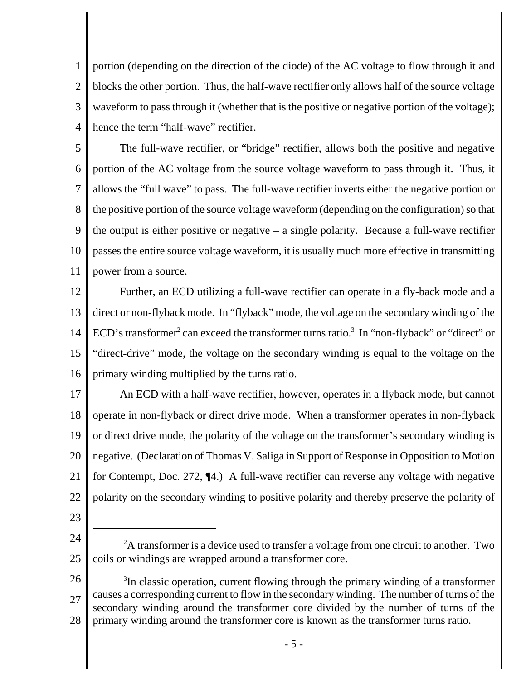1 2 3 4 portion (depending on the direction of the diode) of the AC voltage to flow through it and blocks the other portion. Thus, the half-wave rectifier only allows half of the source voltage waveform to pass through it (whether that is the positive or negative portion of the voltage); hence the term "half-wave" rectifier.

5 6 7 8 9 10 11 The full-wave rectifier, or "bridge" rectifier, allows both the positive and negative portion of the AC voltage from the source voltage waveform to pass through it. Thus, it allows the "full wave" to pass. The full-wave rectifier inverts either the negative portion or the positive portion of the source voltage waveform (depending on the configuration) so that the output is either positive or negative  $-$  a single polarity. Because a full-wave rectifier passes the entire source voltage waveform, it is usually much more effective in transmitting power from a source.

12 13 14 15 16 Further, an ECD utilizing a full-wave rectifier can operate in a fly-back mode and a direct or non-flyback mode. In "flyback" mode, the voltage on the secondary winding of the ECD's transformer<sup>2</sup> can exceed the transformer turns ratio.<sup>3</sup> In "non-flyback" or "direct" or "direct-drive" mode, the voltage on the secondary winding is equal to the voltage on the primary winding multiplied by the turns ratio.

17 18 19 20 21 22 An ECD with a half-wave rectifier, however, operates in a flyback mode, but cannot operate in non-flyback or direct drive mode. When a transformer operates in non-flyback or direct drive mode, the polarity of the voltage on the transformer's secondary winding is negative. (Declaration of Thomas V. Saliga in Support of Response in Opposition to Motion for Contempt, Doc. 272, ¶4.) A full-wave rectifier can reverse any voltage with negative polarity on the secondary winding to positive polarity and thereby preserve the polarity of

- 23
- 24

<sup>25</sup>  $2A$  transformer is a device used to transfer a voltage from one circuit to another. Two coils or windings are wrapped around a transformer core.

<sup>26</sup> 27 28 <sup>3</sup>In classic operation, current flowing through the primary winding of a transformer causes a corresponding current to flow in the secondary winding. The number of turns of the secondary winding around the transformer core divided by the number of turns of the primary winding around the transformer core is known as the transformer turns ratio.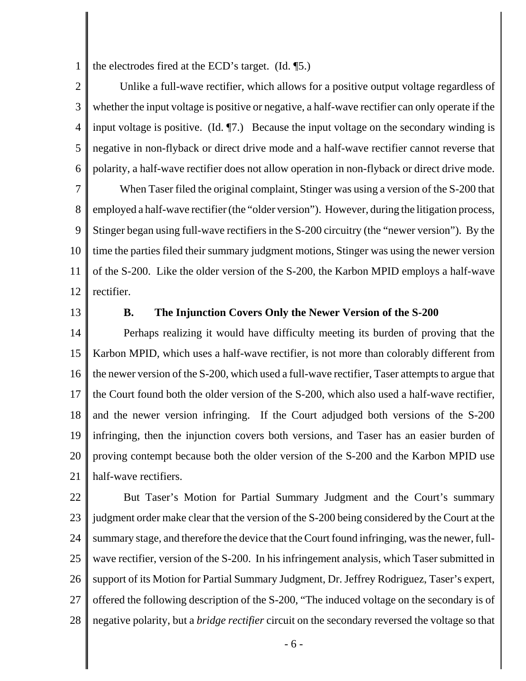1 the electrodes fired at the ECD's target. (Id. ¶5.)

2 3 4 5 6 Unlike a full-wave rectifier, which allows for a positive output voltage regardless of whether the input voltage is positive or negative, a half-wave rectifier can only operate if the input voltage is positive. (Id. ¶7.) Because the input voltage on the secondary winding is negative in non-flyback or direct drive mode and a half-wave rectifier cannot reverse that polarity, a half-wave rectifier does not allow operation in non-flyback or direct drive mode.

7 8 9 10 11 12 When Taser filed the original complaint, Stinger was using a version of the S-200 that employed a half-wave rectifier (the "older version"). However, during the litigation process, Stinger began using full-wave rectifiers in the S-200 circuitry (the "newer version"). By the time the parties filed their summary judgment motions, Stinger was using the newer version of the S-200. Like the older version of the S-200, the Karbon MPID employs a half-wave rectifier.

13

## **B. The Injunction Covers Only the Newer Version of the S-200**

14 15 16 17 18 19 20 21 Perhaps realizing it would have difficulty meeting its burden of proving that the Karbon MPID, which uses a half-wave rectifier, is not more than colorably different from the newer version of the S-200, which used a full-wave rectifier, Taser attempts to argue that the Court found both the older version of the S-200, which also used a half-wave rectifier, and the newer version infringing. If the Court adjudged both versions of the S-200 infringing, then the injunction covers both versions, and Taser has an easier burden of proving contempt because both the older version of the S-200 and the Karbon MPID use half-wave rectifiers.

22 23 24 25 26 27 28 But Taser's Motion for Partial Summary Judgment and the Court's summary judgment order make clear that the version of the S-200 being considered by the Court at the summary stage, and therefore the device that the Court found infringing, was the newer, fullwave rectifier, version of the S-200. In his infringement analysis, which Taser submitted in support of its Motion for Partial Summary Judgment, Dr. Jeffrey Rodriguez, Taser's expert, offered the following description of the S-200, "The induced voltage on the secondary is of negative polarity, but a *bridge rectifier* circuit on the secondary reversed the voltage so that

- 6 -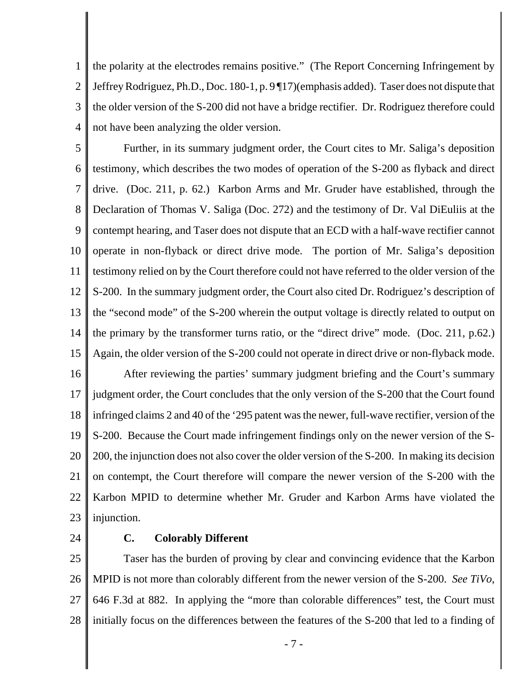1 2 3 4 the polarity at the electrodes remains positive." (The Report Concerning Infringement by Jeffrey Rodriguez, Ph.D., Doc. 180-1, p. 9 ¶17)(emphasis added). Taser does not dispute that the older version of the S-200 did not have a bridge rectifier. Dr. Rodriguez therefore could not have been analyzing the older version.

5 6 7 8 9 10 11 12 13 14 15 16 Further, in its summary judgment order, the Court cites to Mr. Saliga's deposition testimony, which describes the two modes of operation of the S-200 as flyback and direct drive. (Doc. 211, p. 62.) Karbon Arms and Mr. Gruder have established, through the Declaration of Thomas V. Saliga (Doc. 272) and the testimony of Dr. Val DiEuliis at the contempt hearing, and Taser does not dispute that an ECD with a half-wave rectifier cannot operate in non-flyback or direct drive mode. The portion of Mr. Saliga's deposition testimony relied on by the Court therefore could not have referred to the older version of the S-200. In the summary judgment order, the Court also cited Dr. Rodriguez's description of the "second mode" of the S-200 wherein the output voltage is directly related to output on the primary by the transformer turns ratio, or the "direct drive" mode. (Doc. 211, p.62.) Again, the older version of the S-200 could not operate in direct drive or non-flyback mode. After reviewing the parties' summary judgment briefing and the Court's summary

17 18 19 20 21 22 23 judgment order, the Court concludes that the only version of the S-200 that the Court found infringed claims 2 and 40 of the '295 patent was the newer, full-wave rectifier, version of the S-200. Because the Court made infringement findings only on the newer version of the S-200, the injunction does not also cover the older version of the S-200. In making its decision on contempt, the Court therefore will compare the newer version of the S-200 with the Karbon MPID to determine whether Mr. Gruder and Karbon Arms have violated the injunction.

24

## **C. Colorably Different**

25 26 27 28 Taser has the burden of proving by clear and convincing evidence that the Karbon MPID is not more than colorably different from the newer version of the S-200. *See TiVo*, 646 F.3d at 882. In applying the "more than colorable differences" test, the Court must initially focus on the differences between the features of the S-200 that led to a finding of

- 7 -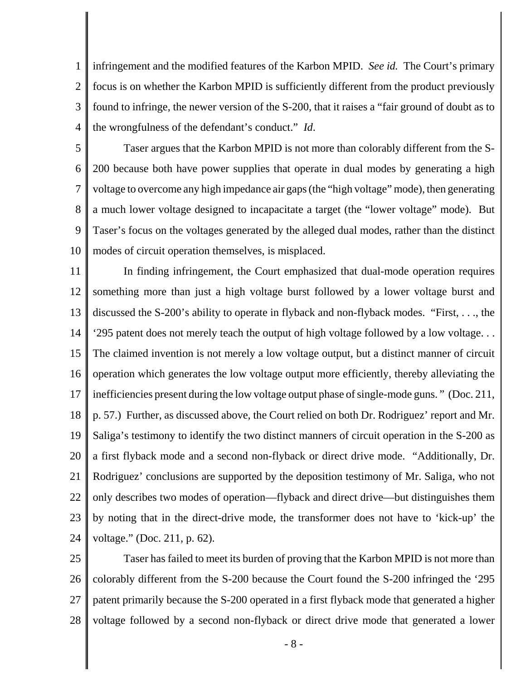1 2 3 4 infringement and the modified features of the Karbon MPID. *See id.* The Court's primary focus is on whether the Karbon MPID is sufficiently different from the product previously found to infringe, the newer version of the S-200, that it raises a "fair ground of doubt as to the wrongfulness of the defendant's conduct." *Id*.

5 6 7 8 9 10 Taser argues that the Karbon MPID is not more than colorably different from the S-200 because both have power supplies that operate in dual modes by generating a high voltage to overcome any high impedance air gaps (the "high voltage" mode), then generating a much lower voltage designed to incapacitate a target (the "lower voltage" mode). But Taser's focus on the voltages generated by the alleged dual modes, rather than the distinct modes of circuit operation themselves, is misplaced.

11 12 13 14 15 16 17 18 19 20 21 22 23 24 In finding infringement, the Court emphasized that dual-mode operation requires something more than just a high voltage burst followed by a lower voltage burst and discussed the S-200's ability to operate in flyback and non-flyback modes. "First, . . ., the '295 patent does not merely teach the output of high voltage followed by a low voltage. . . The claimed invention is not merely a low voltage output, but a distinct manner of circuit operation which generates the low voltage output more efficiently, thereby alleviating the inefficiencies present during the low voltage output phase of single-mode guns. " (Doc. 211, p. 57.) Further, as discussed above, the Court relied on both Dr. Rodriguez' report and Mr. Saliga's testimony to identify the two distinct manners of circuit operation in the S-200 as a first flyback mode and a second non-flyback or direct drive mode. "Additionally, Dr. Rodriguez' conclusions are supported by the deposition testimony of Mr. Saliga, who not only describes two modes of operation—flyback and direct drive—but distinguishes them by noting that in the direct-drive mode, the transformer does not have to 'kick-up' the voltage." (Doc. 211, p. 62).

25 26 27 28 Taser has failed to meet its burden of proving that the Karbon MPID is not more than colorably different from the S-200 because the Court found the S-200 infringed the '295 patent primarily because the S-200 operated in a first flyback mode that generated a higher voltage followed by a second non-flyback or direct drive mode that generated a lower

- 8 -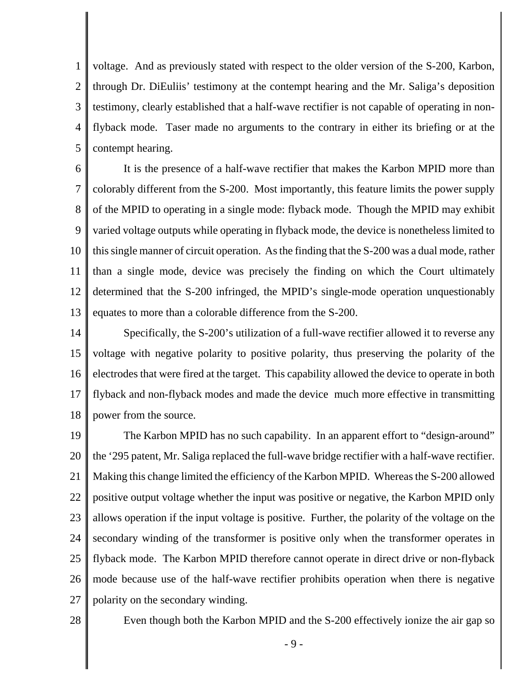1 2 3 4 5 voltage. And as previously stated with respect to the older version of the S-200, Karbon, through Dr. DiEuliis' testimony at the contempt hearing and the Mr. Saliga's deposition testimony, clearly established that a half-wave rectifier is not capable of operating in nonflyback mode. Taser made no arguments to the contrary in either its briefing or at the contempt hearing.

6 7 8 9 10 11 12 13 It is the presence of a half-wave rectifier that makes the Karbon MPID more than colorably different from the S-200. Most importantly, this feature limits the power supply of the MPID to operating in a single mode: flyback mode. Though the MPID may exhibit varied voltage outputs while operating in flyback mode, the device is nonetheless limited to this single manner of circuit operation. As the finding that the S-200 was a dual mode, rather than a single mode, device was precisely the finding on which the Court ultimately determined that the S-200 infringed, the MPID's single-mode operation unquestionably equates to more than a colorable difference from the S-200.

14 15 16 17 18 Specifically, the S-200's utilization of a full-wave rectifier allowed it to reverse any voltage with negative polarity to positive polarity, thus preserving the polarity of the electrodes that were fired at the target. This capability allowed the device to operate in both flyback and non-flyback modes and made the device much more effective in transmitting power from the source.

19 20 21 22 23 24 25 26 27 The Karbon MPID has no such capability. In an apparent effort to "design-around" the '295 patent, Mr. Saliga replaced the full-wave bridge rectifier with a half-wave rectifier. Making this change limited the efficiency of the Karbon MPID. Whereas the S-200 allowed positive output voltage whether the input was positive or negative, the Karbon MPID only allows operation if the input voltage is positive. Further, the polarity of the voltage on the secondary winding of the transformer is positive only when the transformer operates in flyback mode. The Karbon MPID therefore cannot operate in direct drive or non-flyback mode because use of the half-wave rectifier prohibits operation when there is negative polarity on the secondary winding.

28

Even though both the Karbon MPID and the S-200 effectively ionize the air gap so